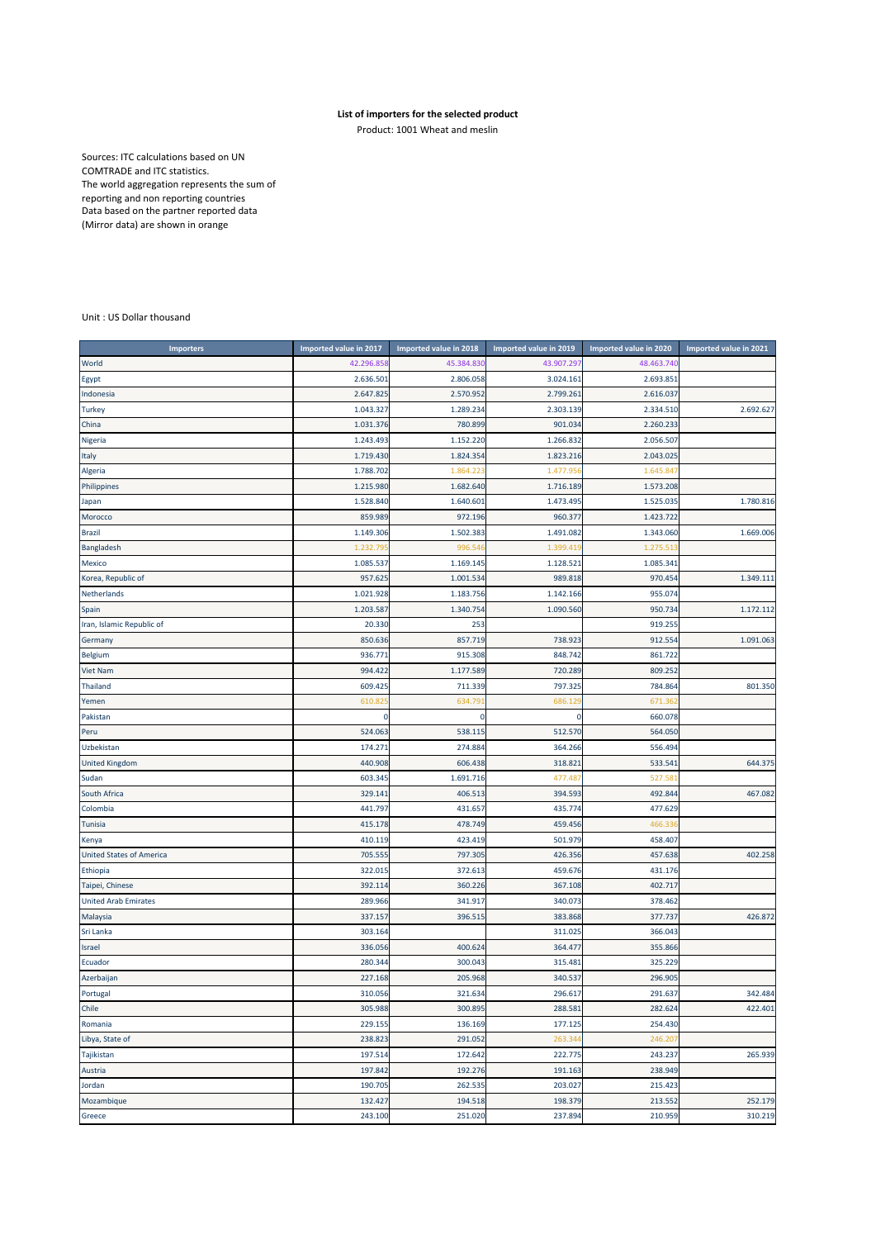## **List of importers for the selected product**

Product: 1001 Wheat and meslin

Sources: ITC calculations based on UN COMTRADE and ITC statistics. The world aggregation represents the sum of reporting and non reporting countries Data based on the partner reported data (Mirror data) are shown in orange

## Unit : US Dollar thousand

| <b>Importers</b>                | Imported value in 2017 | Imported value in 2018 | Imported value in 2019 | Imported value in 2020 | Imported value in 2021 |
|---------------------------------|------------------------|------------------------|------------------------|------------------------|------------------------|
| World                           | 42.296.85              | 45.384.83              | 43.907.29              | 48.463.74              |                        |
| Egypt                           | 2.636.501              | 2.806.058              | 3.024.161              | 2.693.851              |                        |
| Indonesia                       | 2.647.825              | 2.570.952              | 2.799.261              | 2.616.037              |                        |
| <b>Turkey</b>                   | 1.043.327              | 1.289.234              | 2.303.139              | 2.334.510              | 2.692.627              |
| China                           | 1.031.376              | 780.899                | 901.034                | 2.260.233              |                        |
| Nigeria                         | 1.243.493              | 1.152.220              | 1.266.832              | 2.056.507              |                        |
| Italy                           | 1.719.430              | 1.824.354              | 1.823.216              | 2.043.025              |                        |
| Algeria                         | 1.788.702              | 1.864.22               | 1.477.95               | 1.645.847              |                        |
| Philippines                     | 1.215.980              | 1.682.640              | 1.716.189              | 1.573.208              |                        |
| Japan                           | 1.528.840              | 1.640.60               | 1.473.495              | 1.525.035              | 1.780.816              |
| Morocco                         | 859.989                | 972.196                | 960.377                | 1.423.722              |                        |
| <b>Brazil</b>                   | 1.149.306              | 1.502.383              | 1.491.082              | 1.343.060              | 1.669.006              |
| Bangladesh                      | 1.232.79               | 996.54                 | 1.399.41               | 1.275.51               |                        |
| Mexico                          | 1.085.537              | 1.169.145              | 1.128.521              | 1.085.341              |                        |
| Korea, Republic of              | 957.625                | 1.001.534              | 989.818                | 970.454                | 1.349.111              |
| Netherlands                     | 1.021.928              | 1.183.756              | 1.142.166              | 955.074                |                        |
| Spain                           | 1.203.587              | 1.340.754              | 1.090.560              | 950.734                | 1.172.112              |
| Iran, Islamic Republic of       | 20.330                 | 253                    |                        | 919.255                |                        |
| Germany                         | 850.636                | 857.719                | 738.923                | 912.554                | 1.091.063              |
| Belgium                         | 936.77                 | 915.308                | 848.742                | 861.722                |                        |
| <b>Viet Nam</b>                 | 994.422                | 1.177.589              | 720.289                | 809.252                |                        |
| Thailand                        | 609.425                | 711.339                | 797.325                | 784.864                | 801.350                |
| Yemen                           | 610.82                 | 634.79                 | 686.12                 | 671.362                |                        |
| Pakistan                        | C                      | $\mathsf{C}$           | $\mathbf{0}$           | 660.078                |                        |
| Peru                            | 524.063                | 538.115                | 512.570                | 564.050                |                        |
| Uzbekistan                      | 174.27                 | 274.884                | 364.266                | 556.494                |                        |
| <b>United Kingdom</b>           | 440.908                | 606.438                | 318.821                | 533.541                | 644.375                |
| Sudan                           | 603.345                | 1.691.716              | 477.48                 | 527.58                 |                        |
| South Africa                    | 329.141                | 406.513                | 394.593                | 492.844                | 467.082                |
| Colombia                        | 441.797                | 431.657                | 435.774                | 477.629                |                        |
| <b>Tunisia</b>                  | 415.178                | 478.749                | 459.456                | 466.336                |                        |
| Kenya                           | 410.119                | 423.419                | 501.979                | 458.407                |                        |
| <b>United States of America</b> | 705.555                | 797.305                | 426.356                | 457.638                | 402.258                |
| Ethiopia                        | 322.01                 | 372.613                | 459.676                | 431.176                |                        |
| Taipei, Chinese                 | 392.114                | 360.226                | 367.108                | 402.717                |                        |
| <b>United Arab Emirates</b>     | 289.966                | 341.917                | 340.073                | 378.462                |                        |
| Malaysia                        | 337.157                | 396.51                 | 383.868                | 377.737                | 426.872                |
|                                 | 303.164                |                        | 311.025                | 366.043                |                        |
| Sri Lanka<br>Israel             | 336.056                | 400.624                | 364.477                | 355.866                |                        |
| Ecuador                         | 280.344                | 300.043                | 315.481                | 325.229                |                        |
|                                 | 227.168                | 205.968                | 340.537                | 296.905                |                        |
| Azerbaijan<br>Portugal          | 310.056                | 321.634                | 296.617                | 291.637                | 342.484                |
| Chile                           | 305.988                | 300.895                | 288.581                | 282.624                | 422.401                |
| Romania                         | 229.15                 | 136.169                | 177.125                | 254.430                |                        |
|                                 |                        |                        |                        |                        |                        |
| Libya, State of                 | 238.823<br>197.514     | 291.052<br>172.642     | 263.344<br>222.775     | 246.207<br>243.237     | 265.939                |
| Tajikistan<br>Austria           | 197.842                | 192.276                | 191.163                | 238.949                |                        |
|                                 |                        |                        |                        |                        |                        |
| Jordan                          | 190.705                | 262.535                | 203.027                | 215.423                |                        |
| Mozambique                      | 132.427                | 194.518                | 198.379                | 213.552                | 252.179                |
| Greece                          | 243.100                | 251.020                | 237.894                | 210.959                | 310.219                |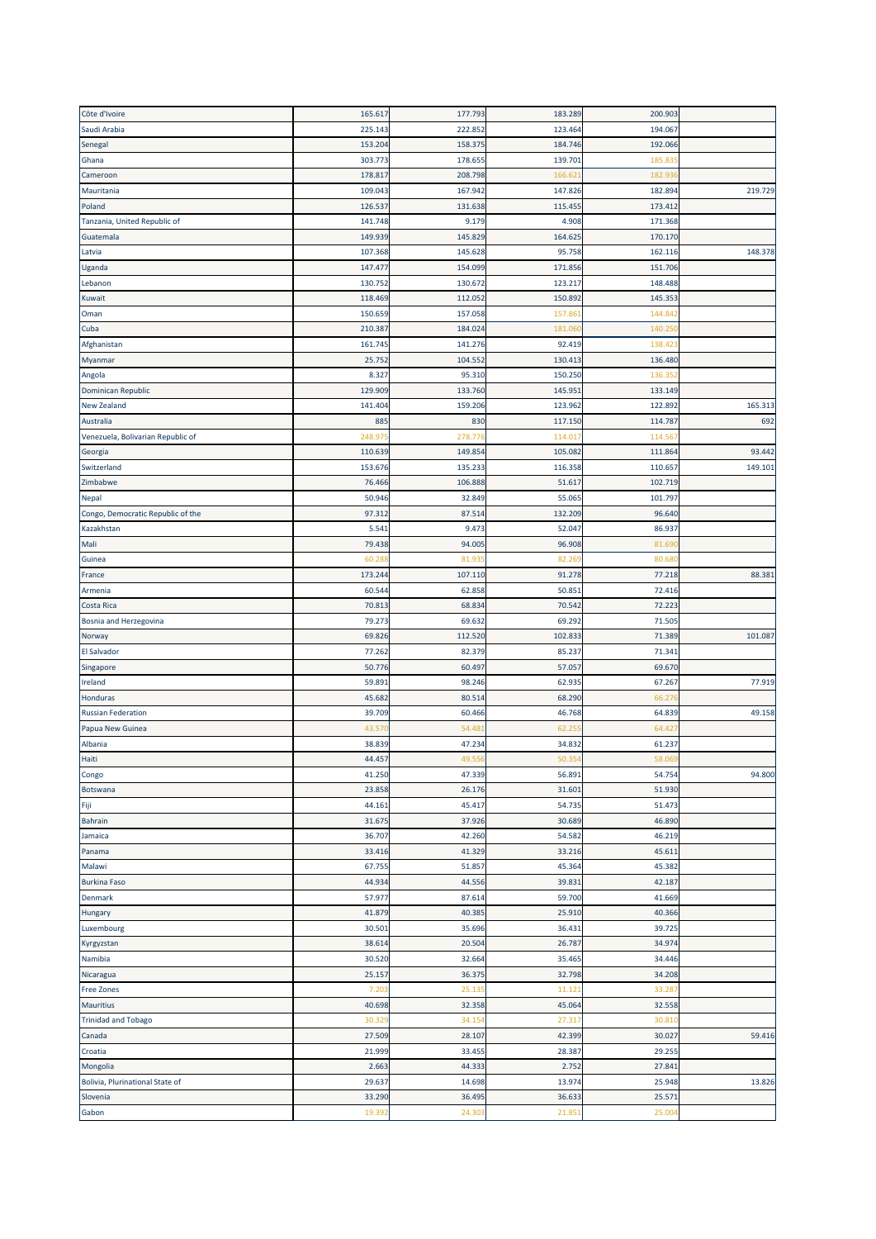| Côte d'Ivoire                     | 165.617 | 177.793 | 183.289 | 200.903 |         |
|-----------------------------------|---------|---------|---------|---------|---------|
| Saudi Arabia                      | 225.143 | 222.852 | 123.464 | 194.067 |         |
| Senegal                           | 153.204 | 158.375 | 184.746 | 192.066 |         |
| Ghana                             | 303.773 | 178.65  | 139.701 | 185.83  |         |
| Cameroon                          | 178.817 | 208.798 | 166.62  | 182.93  |         |
| Mauritania                        | 109.043 | 167.942 | 147.826 | 182.894 | 219.729 |
| Poland                            | 126.537 | 131.638 | 115.455 | 173.412 |         |
| Tanzania, United Republic of      | 141.748 | 9.179   | 4.908   | 171.368 |         |
| Guatemala                         | 149.939 | 145.829 | 164.625 | 170.170 |         |
|                                   | 107.368 | 145.628 |         |         | 148,378 |
| Latvia                            | 147.47  | 154.099 | 95.758  | 162.116 |         |
| Uganda                            |         |         | 171.856 | 151.70  |         |
| Lebanon                           | 130.752 | 130.672 | 123.217 | 148.488 |         |
| Kuwait                            | 118.469 | 112.05  | 150.892 | 145.353 |         |
| Oman                              | 150.659 | 157.058 | 157.86  | 144.84  |         |
| Cuba                              | 210.387 | 184.024 | 181.06  | 140.25  |         |
| Afghanistan                       | 161.74  | 141.276 | 92.419  | 138.42  |         |
| Myanmar                           | 25.752  | 104.552 | 130.413 | 136.480 |         |
| Angola                            | 8.327   | 95.310  | 150.250 | 136.35  |         |
| Dominican Republic                | 129.909 | 133.760 | 145.951 | 133.149 |         |
| <b>New Zealand</b>                | 141.404 | 159.206 | 123.962 | 122.892 | 165.313 |
| Australia                         | 885     | 830     | 117.150 | 114.787 | 692     |
| Venezuela, Bolivarian Republic of | 248.97  | 278.77  | 114.01  | 114.56  |         |
| Georgia                           | 110.639 | 149.854 | 105.082 | 111.864 | 93.442  |
| Switzerland                       | 153.676 | 135.233 | 116.358 | 110.65  | 149.101 |
| Zimbabwe                          | 76.466  | 106.888 | 51.617  | 102.719 |         |
| Nepal                             | 50.946  | 32.849  | 55.065  | 101.797 |         |
| Congo, Democratic Republic of the | 97.312  | 87.514  | 132.209 | 96.640  |         |
| Kazakhstan                        | 5.541   | 9.473   | 52.047  | 86.937  |         |
| Mali                              | 79.438  | 94.005  | 96.908  | 81.69   |         |
| Guinea                            | 60.28   | 81.93   | 82.26   | 80.68   |         |
| France                            | 173.244 | 107.110 | 91.278  | 77.218  | 88.381  |
| Armenia                           | 60.544  | 62.858  | 50.851  | 72.416  |         |
| Costa Rica                        | 70.813  | 68.834  | 70.542  | 72.223  |         |
| Bosnia and Herzegovina            | 79.273  | 69.632  | 69.292  | 71.505  |         |
| Norway                            | 69.826  | 112.520 | 102.833 | 71.389  | 101.087 |
| <b>El Salvador</b>                | 77.262  | 82.379  | 85.237  | 71.341  |         |
| Singapore                         | 50.776  | 60.497  | 57.057  | 69.670  |         |
| Ireland                           | 59.89   | 98.246  | 62.935  | 67.267  | 77.919  |
| Honduras                          | 45.682  | 80.514  | 68.290  | 66.27   |         |
| <b>Russian Federation</b>         | 39.709  | 60.466  | 46.768  | 64.839  | 49.158  |
| Papua New Guinea                  | 43.57   | 54.48   | 62.25   | 64.42   |         |
| Albania                           | 38.839  | 47.234  | 34.832  | 61.237  |         |
| Haiti                             | 44.457  | 49.55   | 50.354  | 58.06   |         |
| Congo                             | 41.250  | 47.339  | 56.891  | 54.754  | 94.800  |
| Botswana                          | 23.858  | 26.176  | 31.601  | 51.930  |         |
| Fiji                              | 44.161  | 45.417  | 54.735  | 51.473  |         |
| Bahrain                           | 31.675  | 37.926  | 30.689  | 46.890  |         |
| Jamaica                           | 36.707  | 42.260  | 54.582  | 46.219  |         |
| Panama                            | 33.416  | 41.329  | 33.216  | 45.611  |         |
| Malawi                            | 67.755  | 51.857  | 45.364  | 45.382  |         |
| <b>Burkina Faso</b>               | 44.934  | 44.556  | 39.831  | 42.187  |         |
| Denmark                           | 57.977  | 87.614  | 59.700  | 41.669  |         |
| Hungary                           | 41.879  | 40.385  | 25.910  | 40.366  |         |
| Luxembourg                        | 30.50   | 35.696  | 36.431  | 39.725  |         |
| Kyrgyzstan                        | 38.614  | 20.504  | 26.787  | 34.974  |         |
| Namibia                           | 30.520  | 32.664  | 35.465  | 34.446  |         |
| Nicaragua                         | 25.157  | 36.375  | 32.798  | 34.208  |         |
| <b>Free Zones</b>                 | 7.20    | 25.13   | 11.121  | 33.287  |         |
| <b>Mauritius</b>                  | 40.698  | 32.358  | 45.064  | 32.558  |         |
| <b>Trinidad and Tobago</b>        | 30.32   | 34.15   | 27.317  | 30.81   |         |
| Canada                            | 27.509  | 28.107  | 42.399  | 30.027  | 59.416  |
| Croatia                           | 21.999  | 33.455  | 28.387  | 29.255  |         |
| Mongolia                          | 2.663   | 44.333  | 2.752   | 27.841  |         |
| Bolivia, Plurinational State of   | 29.637  | 14.698  | 13.974  | 25.948  | 13.826  |
| Slovenia                          | 33.290  | 36.495  | 36.633  | 25.571  |         |
| Gabon                             | 19.39   | 24.30   | 21.851  | 25.00   |         |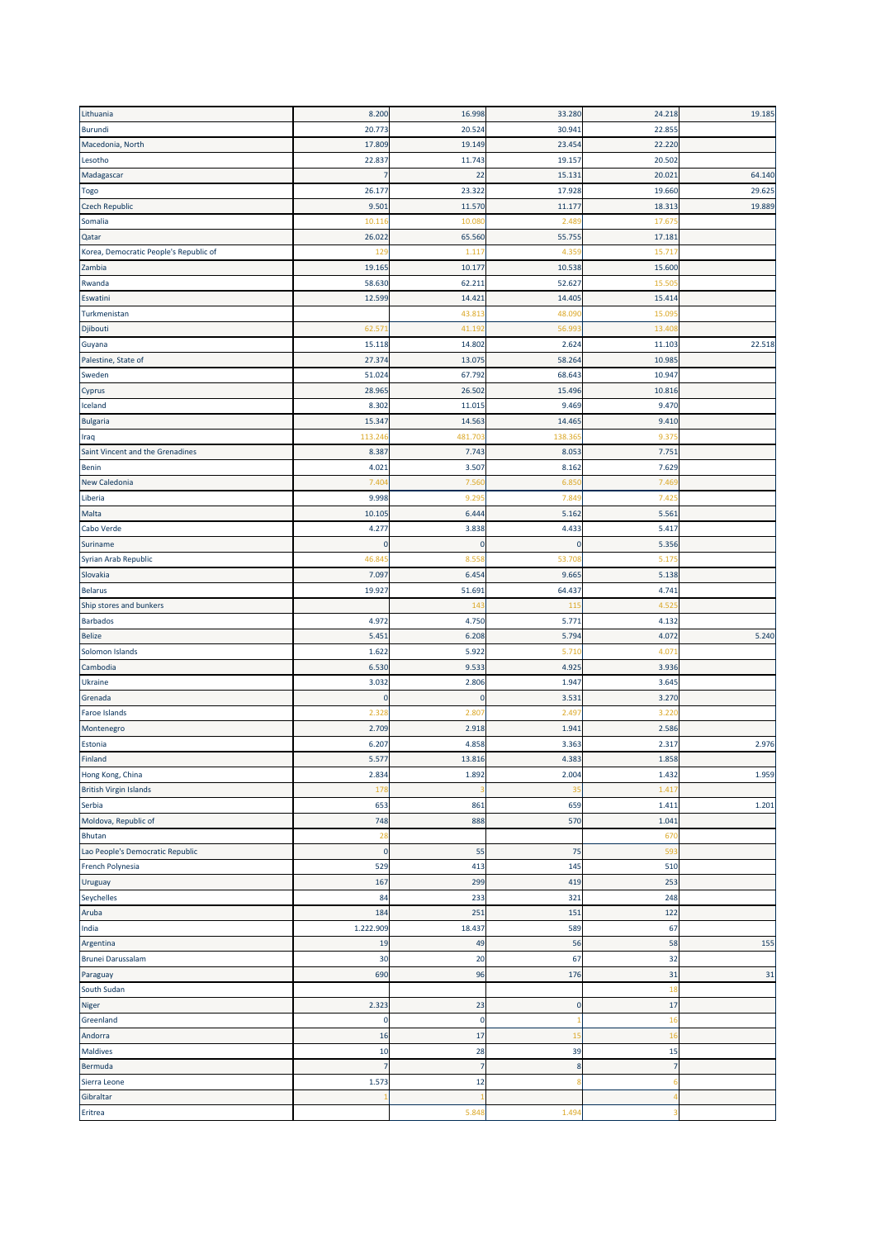| Lithuania                                        | 8.200          | 16.998         | 33.280       | 24.218          | 19.185 |
|--------------------------------------------------|----------------|----------------|--------------|-----------------|--------|
| <b>Burundi</b>                                   | 20.773         | 20.524         | 30.941       | 22.855          |        |
| Macedonia, North                                 | 17.809         | 19.149         | 23.454       | 22.220          |        |
| Lesotho                                          | 22.837         | 11.743         | 19.157       | 20.502          |        |
| Madagascar                                       | 7              | 22             | 15.131       | 20.021          | 64.140 |
| Togo                                             | 26.177         | 23.322         | 17.928       | 19.660          | 29.625 |
| <b>Czech Republic</b>                            | 9.501          | 11.570         | 11.177       | 18.313          | 19.889 |
| Somalia                                          | 10.116         | 10.08          | 2.489        | 17.67           |        |
| Qatar                                            | 26.022         | 65.560         | 55.755       | 17.181          |        |
|                                                  | 129            |                | 4.35         |                 |        |
| Korea, Democratic People's Republic of<br>Zambia | 19.165         | 1.117          |              | 15.71<br>15.600 |        |
|                                                  |                | 10.177         | 10.538       |                 |        |
| Rwanda                                           | 58.630         | 62.211         | 52.627       | 15.50           |        |
| Eswatini                                         | 12.599         | 14.421         | 14.405       | 15.414          |        |
| Turkmenistan                                     |                | 43.81          | 48.09        | 15.09           |        |
| Djibouti                                         | 62.57          | 41.19          | 56.99        | 13.40           |        |
| Guyana                                           | 15.118         | 14.802         | 2.624        | 11.103          | 22.518 |
| Palestine, State of                              | 27.374         | 13.075         | 58.264       | 10.985          |        |
| Sweden                                           | 51.024         | 67.792         | 68.643       | 10.947          |        |
| Cyprus                                           | 28.965         | 26.502         | 15.496       | 10.816          |        |
| Iceland                                          | 8.302          | 11.015         | 9.469        | 9.470           |        |
| <b>Bulgaria</b>                                  | 15.347         | 14.563         | 14.465       | 9.410           |        |
| Iraq                                             | 113.24         | 481.70         | 138.36       | 9.37            |        |
| Saint Vincent and the Grenadines                 | 8.387          | 7.743          | 8.053        | 7.751           |        |
| <b>Benin</b>                                     | 4.021          | 3.507          | 8.162        | 7.629           |        |
| New Caledonia                                    | 7.40           | 7.56           | 6.85         | 7.46            |        |
| Liberia                                          | 9.998          | 9.29           | 7.84         | 7.42            |        |
| Malta                                            | 10.105         | 6.444          | 5.162        | 5.561           |        |
| Cabo Verde                                       | 4.277          | 3.838          | 4.433        | 5.417           |        |
| Suriname                                         | $\Omega$       | $\mathbf{0}$   | $\mathbf{0}$ | 5.356           |        |
| Syrian Arab Republic                             | 46.84          | 8.55           | 53.70        | 5.17            |        |
| Slovakia                                         | 7.097          | 6.454          | 9.665        | 5.138           |        |
| <b>Belarus</b>                                   | 19.927         | 51.691         | 64.437       | 4.741           |        |
| Ship stores and bunkers                          |                | 143            | 11!          | 4.52            |        |
| <b>Barbados</b>                                  | 4.972          | 4.750          | 5.771        | 4.132           |        |
| <b>Belize</b>                                    | 5.451          | 6.208          | 5.794        | 4.072           | 5.240  |
| Solomon Islands                                  | 1.622          | 5.922          | 5.710        | 4.07            |        |
| Cambodia                                         | 6.530          | 9.533          | 4.92         | 3.936           |        |
| Ukraine                                          | 3.032          | 2.806          | 1.947        | 3.64            |        |
| Grenada                                          | $\mathsf{C}$   | $\mathbf 0$    | 3.531        | 3.270           |        |
| Faroe Islands                                    | 2.328          | 2.80           | 2.49         | 3.22            |        |
| Montenegro                                       | 2.709          | 2.918          | 1.94         | 2.586           |        |
| Estonia                                          | 6.207          | 4.858          | 3.363        | 2.317           | 2.976  |
| Finland                                          | 5.577          | 13.816         | 4.383        | 1.858           |        |
| Hong Kong, China                                 | 2.834          | 1.892          | 2.004        | 1.432           | 1.959  |
| <b>British Virgin Islands</b>                    | 178            |                | 35           | 1.41            |        |
| Serbia                                           | 653            | 861            | 659          | 1.411           | 1.201  |
| Moldova, Republic of                             | 748            | 888            | 570          | 1.041           |        |
| Bhutan                                           | 28             |                |              | 670             |        |
| Lao People's Democratic Republic                 | $\mathbf 0$    | 55             | 75           | 593             |        |
| French Polynesia                                 | 529            | 413            | 145          | 510             |        |
| Uruguay                                          | 167            | 299            | 419          | 253             |        |
| Seychelles                                       | 84             | 233            | 321          | 248             |        |
|                                                  |                |                |              | 122             |        |
| Aruba                                            | 184            | 251            | 151          |                 |        |
| India                                            | 1.222.909      | 18.437         | 589          | 67              |        |
| Argentina                                        | 19             | 49             | 56           | 58              | 155    |
| <b>Brunei Darussalam</b>                         | 30             | 20             | 67           | 32              |        |
| Paraguay                                         | 690            | 96             | 176          | 31              | 31     |
| South Sudan                                      |                |                |              | 18              |        |
| Niger                                            | 2.323          | 23             | $\mathbf 0$  | 17              |        |
| Greenland                                        | $\overline{0}$ | 0              |              | 16              |        |
| Andorra                                          | 16             | 17             | 15           | 16              |        |
| <b>Maldives</b>                                  | 10             | 28             | 39           | 15              |        |
| Bermuda                                          | 7              | $\overline{7}$ | 8            | 7               |        |
| Sierra Leone                                     | 1.573          | 12             |              |                 |        |
| Gibraltar                                        |                |                |              |                 |        |
| Eritrea                                          |                | 5.84           | 1.49         |                 |        |